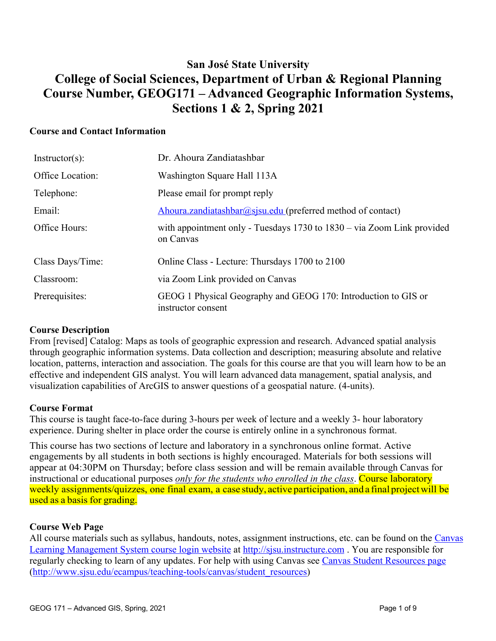# **San José State University College of Social Sciences, Department of Urban & Regional Planning Course Number, GEOG171 – Advanced Geographic Information Systems, Sections 1 & 2, Spring 2021**

### **Course and Contact Information**

| $Instructor(s)$ : | Dr. Ahoura Zandiatashbar                                                                |
|-------------------|-----------------------------------------------------------------------------------------|
| Office Location:  | Washington Square Hall 113A                                                             |
| Telephone:        | Please email for prompt reply                                                           |
| Email:            | Ahoura.zandiatashbar@sjsu.edu (preferred method of contact)                             |
| Office Hours:     | with appointment only - Tuesdays $1730$ to $1830 - via$ Zoom Link provided<br>on Canvas |
| Class Days/Time:  | Online Class - Lecture: Thursdays 1700 to 2100                                          |
| Classroom:        | via Zoom Link provided on Canvas                                                        |
| Prerequisites:    | GEOG 1 Physical Geography and GEOG 170: Introduction to GIS or<br>instructor consent    |

#### **Course Description**

From [revised] Catalog: Maps as tools of geographic expression and research. Advanced spatial analysis through geographic information systems. Data collection and description; measuring absolute and relative location, patterns, interaction and association. The goals for this course are that you will learn how to be an effective and independent GIS analyst. You will learn advanced data management, spatial analysis, and visualization capabilities of ArcGIS to answer questions of a geospatial nature. (4-units).

## **Course Format**

This course is taught face-to-face during 3-hours per week of lecture and a weekly 3- hour laboratory experience. During shelter in place order the course is entirely online in a synchronous format.

This course has two sections of lecture and laboratory in a synchronous online format. Active engagements by all students in both sections is highly encouraged. Materials for both sessions will appear at 04:30PM on Thursday; before class session and will be remain available through Canvas for instructional or educational purposes *only for the students who enrolled in the class*. Course laboratory weekly assignments/quizzes, one final exam, a case study, active participation, and a final projectwill be used as a basis for grading.

#### **Course Web Page**

All course materials such as syllabus, handouts, notes, assignment instructions, etc. can be found on the Canvas Learning Management System course login website at http://sjsu.instructure.com . You are responsible for regularly checking to learn of any updates. For help with using Canvas see Canvas Student Resources page (http://www.sjsu.edu/ecampus/teaching-tools/canvas/student\_resources)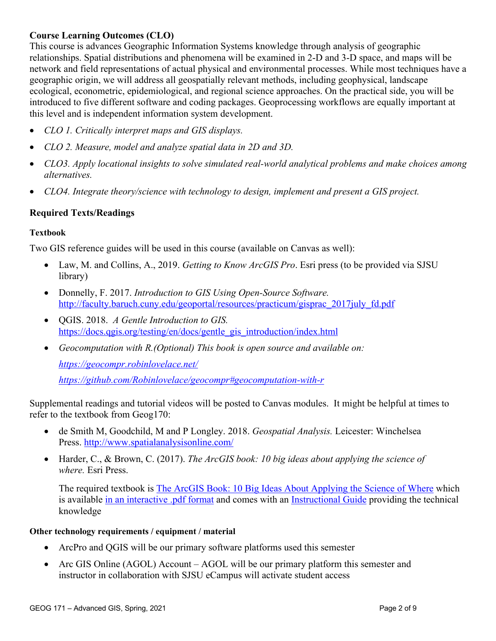## **Course Learning Outcomes (CLO)**

This course is advances Geographic Information Systems knowledge through analysis of geographic relationships. Spatial distributions and phenomena will be examined in 2-D and 3-D space, and maps will be network and field representations of actual physical and environmental processes. While most techniques have a geographic origin, we will address all geospatially relevant methods, including geophysical, landscape ecological, econometric, epidemiological, and regional science approaches. On the practical side, you will be introduced to five different software and coding packages. Geoprocessing workflows are equally important at this level and is independent information system development.

- *CLO 1. Critically interpret maps and GIS displays.*
- *CLO 2. Measure, model and analyze spatial data in 2D and 3D.*
- *CLO3. Apply locational insights to solve simulated real-world analytical problems and make choices among alternatives.*
- *CLO4. Integrate theory/science with technology to design, implement and present a GIS project.*

## **Required Texts/Readings**

#### **Textbook**

Two GIS reference guides will be used in this course (available on Canvas as well):

- Law, M. and Collins, A., 2019. *Getting to Know ArcGIS Pro*. Esri press (to be provided via SJSU library)
- Donnelly, F. 2017. *Introduction to GIS Using Open-Source Software.* http://faculty.baruch.cuny.edu/geoportal/resources/practicum/gisprac\_2017july\_fd.pdf
- QGIS. 2018. *A Gentle Introduction to GIS.* https://docs.qgis.org/testing/en/docs/gentle\_gis\_introduction/index.html
- *Geocomputation with R.(Optional) This book is open source and available on:*

*https://geocompr.robinlovelace.net/*

*https://github.com/Robinlovelace/geocompr#geocomputation-with-r*

• Supplemental readings and tutorial videos will be posted to Canvas modules. It might be helpful at times to refer to the textbook from Geog170:

- de Smith M, Goodchild, M and P Longley. 2018. *Geospatial Analysis.* Leicester: Winchelsea Press. http://www.spatialanalysisonline.com/
- Harder, C., & Brown, C. (2017). *The ArcGIS book: 10 big ideas about applying the science of where.* Esri Press.

The required textbook is The ArcGIS Book: 10 Big Ideas About Applying the Science of Where which is available in an interactive .pdf format and comes with an Instructional Guide providing the technical knowledge

#### **Other technology requirements / equipment / material**

- ArcPro and QGIS will be our primary software platforms used this semester
- Arc GIS Online (AGOL) Account AGOL will be our primary platform this semester and instructor in collaboration with SJSU eCampus will activate student access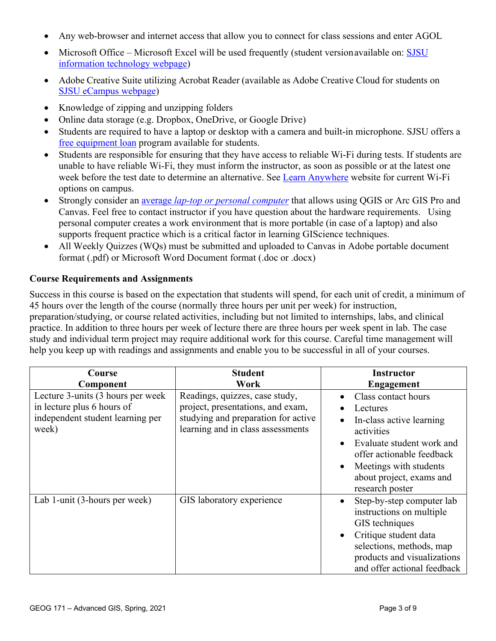- Any web-browser and internet access that allow you to connect for class sessions and enter AGOL
- Microsoft Office Microsoft Excel will be used frequently (student version available on: **SJSU** information technology webpage)
- Adobe Creative Suite utilizing Acrobat Reader (available as Adobe Creative Cloud for students on SJSU eCampus webpage)
- Knowledge of zipping and unzipping folders
- Online data storage (e.g. Dropbox, OneDrive, or Google Drive)
- Students are required to have a laptop or desktop with a camera and built-in microphone. SJSU offers a free equipment loan program available for students.
- Students are responsible for ensuring that they have access to reliable Wi-Fi during tests. If students are unable to have reliable Wi-Fi, they must inform the instructor, as soon as possible or at the latest one week before the test date to determine an alternative. See Learn Anywhere website for current Wi-Fi options on campus.
- Strongly consider an average *lap-top or personal computer* that allows using QGIS or Arc GIS Pro and Canvas. Feel free to contact instructor if you have question about the hardware requirements. Using personal computer creates a work environment that is more portable (in case of a laptop) and also supports frequent practice which is a critical factor in learning GIScience techniques.
- All Weekly Quizzes (WQs) must be submitted and uploaded to Canvas in Adobe portable document format (.pdf) or Microsoft Word Document format (.doc or .docx)

## **Course Requirements and Assignments**

Success in this course is based on the expectation that students will spend, for each unit of credit, a minimum of 45 hours over the length of the course (normally three hours per unit per week) for instruction, preparation/studying, or course related activities, including but not limited to internships, labs, and clinical practice. In addition to three hours per week of lecture there are three hours per week spent in lab. The case study and individual term project may require additional work for this course. Careful time management will help you keep up with readings and assignments and enable you to be successful in all of your courses.

| Course                                                                                                       | <b>Student</b>                                                                                                                                  | <b>Instructor</b>                                                                                                                                                                                            |
|--------------------------------------------------------------------------------------------------------------|-------------------------------------------------------------------------------------------------------------------------------------------------|--------------------------------------------------------------------------------------------------------------------------------------------------------------------------------------------------------------|
| Component                                                                                                    | Work                                                                                                                                            | <b>Engagement</b>                                                                                                                                                                                            |
| Lecture 3-units (3 hours per week<br>in lecture plus 6 hours of<br>independent student learning per<br>week) | Readings, quizzes, case study,<br>project, presentations, and exam,<br>studying and preparation for active<br>learning and in class assessments | Class contact hours<br>Lectures<br>In-class active learning<br>activities<br>Evaluate student work and<br>offer actionable feedback<br>Meetings with students<br>about project, exams and<br>research poster |
| Lab 1-unit (3-hours per week)                                                                                | GIS laboratory experience                                                                                                                       | Step-by-step computer lab<br>instructions on multiple<br>GIS techniques<br>Critique student data<br>selections, methods, map<br>products and visualizations<br>and offer actional feedback                   |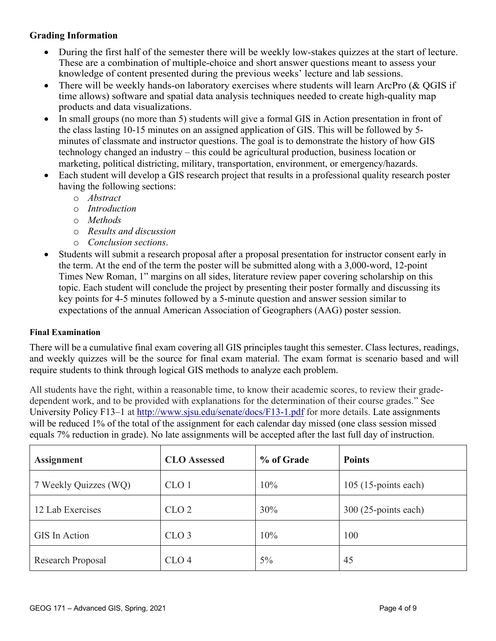## **Grading Information**

- During the first half of the semester there will be weekly low-stakes quizzes at the start of lecture. These are a combination of multiple-choice and short answer questions meant to assess your knowledge of content presented during the previous weeks' lecture and lab sessions.
- There will be weekly hands-on laboratory exercises where students will learn ArcPro  $\&$  OGIS if time allows) software and spatial data analysis techniques needed to create high-quality map products and data visualizations.
- In small groups (no more than 5) students will give a formal GIS in Action presentation in front of the class lasting 10-15 minutes on an assigned application of GIS. This will be followed by 5 minutes of classmate and instructor questions. The goal is to demonstrate the history of how GIS technology changed an industry – this could be agricultural production, business location or marketing, political districting, military, transportation, environment, or emergency/hazards.
- Each student will develop a GIS research project that results in a professional quality research poster having the following sections:
	- o *Abstract*
	- o *Introduction*
	- o *Methods*
	- o *Results and discussion*
	- o *Conclusion sections*.
- Students will submit a research proposal after a proposal presentation for instructor consent early in the term. At the end of the term the poster will be submitted along with a 3,000-word, 12-point Times New Roman, 1" margins on all sides, literature review paper covering scholarship on this topic. Each student will conclude the project by presenting their poster formally and discussing its key points for 4-5 minutes followed by a 5-minute question and answer session similar to expectations of the annual American Association of Geographers (AAG) poster session.

#### **Final Examination**

There will be a cumulative final exam covering all GIS principles taught this semester. Class lectures, readings, and weekly quizzes will be the source for final exam material. The exam format is scenario based and will require students to think through logical GIS methods to analyze each problem.

All students have the right, within a reasonable time, to know their academic scores, to review their gradedependent work, and to be provided with explanations for the determination of their course grades." See University Policy F13–1 at http://www.sjsu.edu/senate/docs/F13-1.pdf for more details. Late assignments will be reduced 1% of the total of the assignment for each calendar day missed (one class session missed equals 7% reduction in grade). No late assignments will be accepted after the last full day of instruction.

| <b>Assignment</b>     | <b>CLO</b> Assessed     | % of Grade | <b>Points</b>          |  |
|-----------------------|-------------------------|------------|------------------------|--|
| 7 Weekly Quizzes (WQ) | CLO <sub>1</sub>        | 10%        | $105$ (15-points each) |  |
| 12 Lab Exercises      | 30%<br>CLO <sub>2</sub> |            | $300(25$ -points each) |  |
| GIS In Action         | CLO <sub>3</sub>        | 10%        | 100                    |  |
| Research Proposal     | CLO <sub>4</sub>        | $5\%$      | 45                     |  |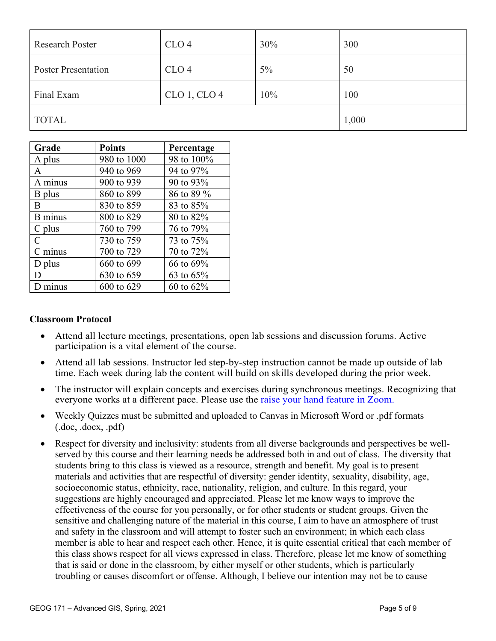| <b>Research Poster</b>     | CLO <sub>4</sub> | 30%   | 300   |  |
|----------------------------|------------------|-------|-------|--|
| <b>Poster Presentation</b> | CLO <sub>4</sub> | $5\%$ | 50    |  |
| Final Exam                 | $CLO$ 1, $CLO$ 4 | 10%   | 100   |  |
| <b>TOTAL</b>               |                  |       | 1,000 |  |

| Grade                       | <b>Points</b> | Percentage   |
|-----------------------------|---------------|--------------|
| A plus                      | 980 to 1000   | 98 to 100%   |
| A                           | 940 to 969    | 94 to 97%    |
| A minus                     | 900 to 939    | 90 to 93%    |
| B plus                      | 860 to 899    | 86 to 89 %   |
| B                           | 830 to 859    | 83 to 85%    |
| <b>B</b> minus              | 800 to 829    | 80 to 82%    |
| $C$ plus                    | 760 to 799    | 76 to 79%    |
| $\mathcal{C}_{\mathcal{C}}$ | 730 to 759    | 73 to 75%    |
| C minus                     | 700 to 729    | 70 to 72%    |
| D plus                      | 660 to 699    | 66 to 69%    |
| Ð                           | 630 to 659    | 63 to 65%    |
| minus                       | 600 to 629    | 60 to $62\%$ |

#### **Classroom Protocol**

- Attend all lecture meetings, presentations, open lab sessions and discussion forums. Active participation is a vital element of the course.
- Attend all lab sessions. Instructor led step-by-step instruction cannot be made up outside of lab time. Each week during lab the content will build on skills developed during the prior week.
- The instructor will explain concepts and exercises during synchronous meetings. Recognizing that everyone works at a different pace. Please use the raise your hand feature in Zoom.
- Weekly Quizzes must be submitted and uploaded to Canvas in Microsoft Word or .pdf formats (.doc, .docx, .pdf)
- Respect for diversity and inclusivity: students from all diverse backgrounds and perspectives be wellserved by this course and their learning needs be addressed both in and out of class. The diversity that students bring to this class is viewed as a resource, strength and benefit. My goal is to present materials and activities that are respectful of diversity: gender identity, sexuality, disability, age, socioeconomic status, ethnicity, race, nationality, religion, and culture. In this regard, your suggestions are highly encouraged and appreciated. Please let me know ways to improve the effectiveness of the course for you personally, or for other students or student groups. Given the sensitive and challenging nature of the material in this course, I aim to have an atmosphere of trust and safety in the classroom and will attempt to foster such an environment; in which each class member is able to hear and respect each other. Hence, it is quite essential critical that each member of this class shows respect for all views expressed in class. Therefore, please let me know of something that is said or done in the classroom, by either myself or other students, which is particularly troubling or causes discomfort or offense. Although, I believe our intention may not be to cause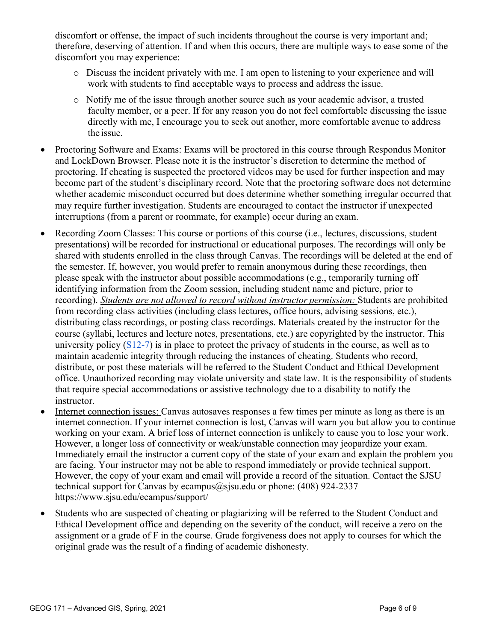discomfort or offense, the impact of such incidents throughout the course is very important and; therefore, deserving of attention. If and when this occurs, there are multiple ways to ease some of the discomfort you may experience:

- o Discuss the incident privately with me. I am open to listening to your experience and will work with students to find acceptable ways to process and address the issue.
- o Notify me of the issue through another source such as your academic advisor, a trusted faculty member, or a peer. If for any reason you do not feel comfortable discussing the issue directly with me, I encourage you to seek out another, more comfortable avenue to address the issue.
- Proctoring Software and Exams: Exams will be proctored in this course through Respondus Monitor and LockDown Browser. Please note it is the instructor's discretion to determine the method of proctoring. If cheating is suspected the proctored videos may be used for further inspection and may become part of the student's disciplinary record. Note that the proctoring software does not determine whether academic misconduct occurred but does determine whether something irregular occurred that may require further investigation. Students are encouraged to contact the instructor if unexpected interruptions (from a parent or roommate, for example) occur during an exam.
- Recording Zoom Classes: This course or portions of this course (i.e., lectures, discussions, student presentations) willbe recorded for instructional or educational purposes. The recordings will only be shared with students enrolled in the class through Canvas. The recordings will be deleted at the end of the semester. If, however, you would prefer to remain anonymous during these recordings, then please speak with the instructor about possible accommodations (e.g., temporarily turning off identifying information from the Zoom session, including student name and picture, prior to recording). *Students are not allowed to record without instructor permission:* Students are prohibited from recording class activities (including class lectures, office hours, advising sessions, etc.), distributing class recordings, or posting class recordings. Materials created by the instructor for the course (syllabi, lectures and lecture notes, presentations, etc.) are copyrighted by the instructor. This university policy (S12-7) is in place to protect the privacy of students in the course, as well as to maintain academic integrity through reducing the instances of cheating. Students who record, distribute, or post these materials will be referred to the Student Conduct and Ethical Development office. Unauthorized recording may violate university and state law. It is the responsibility of students that require special accommodations or assistive technology due to a disability to notify the instructor.
- Internet connection issues: Canvas autosaves responses a few times per minute as long as there is an internet connection. If your internet connection is lost, Canvas will warn you but allow you to continue working on your exam. A brief loss of internet connection is unlikely to cause you to lose your work. However, a longer loss of connectivity or weak/unstable connection may jeopardize your exam. Immediately email the instructor a current copy of the state of your exam and explain the problem you are facing. Your instructor may not be able to respond immediately or provide technical support. However, the copy of your exam and email will provide a record of the situation. Contact the SJSU technical support for Canvas by ecampus@sisu.edu or phone:  $(408)$  924-2337 https://www.sjsu.edu/ecampus/support/
- Students who are suspected of cheating or plagiarizing will be referred to the Student Conduct and Ethical Development office and depending on the severity of the conduct, will receive a zero on the assignment or a grade of F in the course. Grade forgiveness does not apply to courses for which the original grade was the result of a finding of academic dishonesty.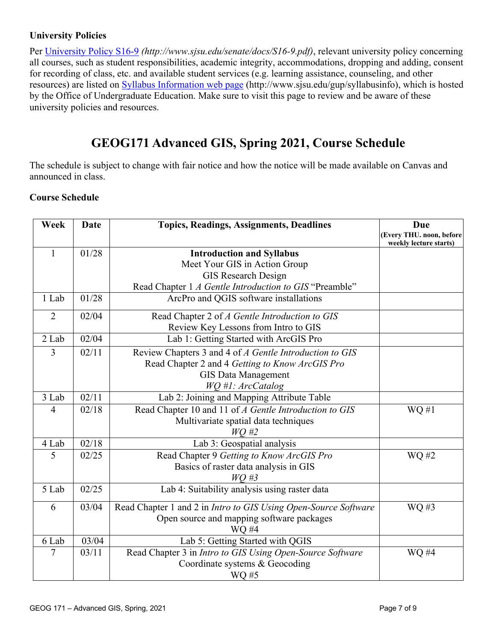## **University Policies**

Per University Policy S16-9 *(http://www.sjsu.edu/senate/docs/S16-9.pdf)*, relevant university policy concerning all courses, such as student responsibilities, academic integrity, accommodations, dropping and adding, consent for recording of class, etc. and available student services (e.g. learning assistance, counseling, and other resources) are listed on Syllabus Information web page (http://www.sjsu.edu/gup/syllabusinfo), which is hosted by the Office of Undergraduate Education. Make sure to visit this page to review and be aware of these university policies and resources.

# **GEOG171 Advanced GIS, Spring 2021, Course Schedule**

The schedule is subject to change with fair notice and how the notice will be made available on Canvas and announced in class.

## **Course Schedule**

| Week           | <b>Date</b> | <b>Topics, Readings, Assignments, Deadlines</b>                 | Due                                                |
|----------------|-------------|-----------------------------------------------------------------|----------------------------------------------------|
|                |             |                                                                 | (Every THU. noon, before<br>weekly lecture starts) |
| $\mathbf{1}$   | 01/28       | <b>Introduction and Syllabus</b>                                |                                                    |
|                |             | Meet Your GIS in Action Group                                   |                                                    |
|                |             | <b>GIS Research Design</b>                                      |                                                    |
|                |             | Read Chapter 1 A Gentle Introduction to GIS "Preamble"          |                                                    |
| 1 Lab          | 01/28       | ArcPro and QGIS software installations                          |                                                    |
| $\overline{2}$ | 02/04       | Read Chapter 2 of A Gentle Introduction to GIS                  |                                                    |
|                |             | Review Key Lessons from Intro to GIS                            |                                                    |
| 2 Lab          | 02/04       | Lab 1: Getting Started with ArcGIS Pro                          |                                                    |
| 3              | 02/11       | Review Chapters 3 and 4 of A Gentle Introduction to GIS         |                                                    |
|                |             | Read Chapter 2 and 4 Getting to Know ArcGIS Pro                 |                                                    |
|                |             | <b>GIS Data Management</b>                                      |                                                    |
|                |             | WQ #1: ArcCatalog                                               |                                                    |
| 3 Lab          | 02/11       | Lab 2: Joining and Mapping Attribute Table                      |                                                    |
| $\overline{4}$ | 02/18       | Read Chapter 10 and 11 of A Gentle Introduction to GIS          | $WQ \#1$                                           |
|                |             | Multivariate spatial data techniques                            |                                                    |
|                |             | $WQ \#2$                                                        |                                                    |
| 4 Lab          | 02/18       | Lab 3: Geospatial analysis                                      |                                                    |
| 5              | 02/25       | Read Chapter 9 Getting to Know ArcGIS Pro                       | WQ #2                                              |
|                |             | Basics of raster data analysis in GIS                           |                                                    |
|                |             | $WO$ #3                                                         |                                                    |
| 5 Lab          | 02/25       | Lab 4: Suitability analysis using raster data                   |                                                    |
| 6              | 03/04       | Read Chapter 1 and 2 in Intro to GIS Using Open-Source Software | WQ #3                                              |
|                |             | Open source and mapping software packages                       |                                                    |
|                |             | WQ #4                                                           |                                                    |
| 6 Lab          | 03/04       | Lab 5: Getting Started with QGIS                                |                                                    |
| 7              | 03/11       | Read Chapter 3 in Intro to GIS Using Open-Source Software       | WQ #4                                              |
|                |             | Coordinate systems & Geocoding                                  |                                                    |
|                |             | WQ #5                                                           |                                                    |